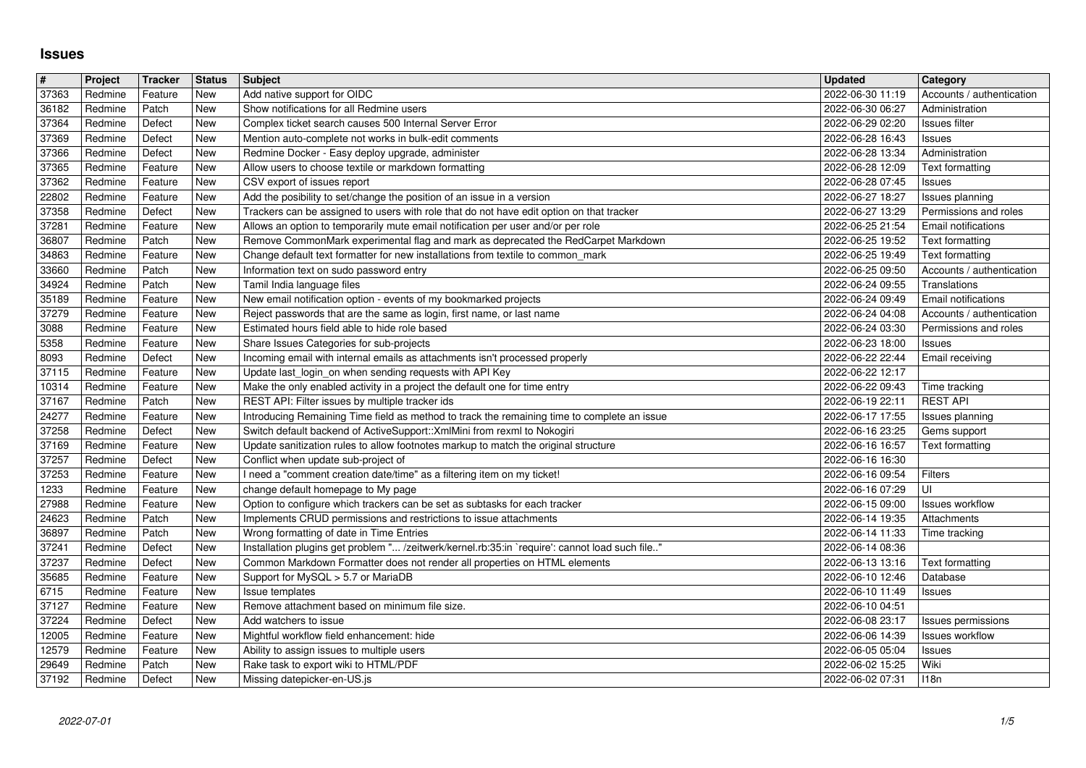## **Issues**

| #              | Project            | Tracker            | <b>Status</b>     | <b>Subject</b>                                                                                                                                                          | <b>Updated</b>                       | <b>Category</b>                                         |
|----------------|--------------------|--------------------|-------------------|-------------------------------------------------------------------------------------------------------------------------------------------------------------------------|--------------------------------------|---------------------------------------------------------|
| 37363<br>36182 | Redmine<br>Redmine | Feature<br>Patch   | New<br>New        | Add native support for OIDC<br>Show notifications for all Redmine users                                                                                                 | 2022-06-30 11:19<br>2022-06-30 06:27 | Accounts / authentication<br>Administration             |
| 37364          | Redmine            | Defect             | New               | Complex ticket search causes 500 Internal Server Error                                                                                                                  | 2022-06-29 02:20                     | Issues filter                                           |
| 37369<br>37366 | Redmine<br>Redmine | Defect<br>Defect   | New<br>New        | Mention auto-complete not works in bulk-edit comments<br>Redmine Docker - Easy deploy upgrade, administer                                                               | 2022-06-28 16:43<br>2022-06-28 13:34 | Issues<br>Administration                                |
| 37365          | Redmine            | Feature            | New               | Allow users to choose textile or markdown formatting                                                                                                                    | 2022-06-28 12:09                     | Text formatting                                         |
| 37362          | Redmine            | Feature            | New               | CSV export of issues report                                                                                                                                             | 2022-06-28 07:45                     | Issues                                                  |
| 22802<br>37358 | Redmine<br>Redmine | Feature<br>Defect  | New<br>New        | Add the posibility to set/change the position of an issue in a version<br>Trackers can be assigned to users with role that do not have edit option on that tracker      | 2022-06-27 18:27<br>2022-06-27 13:29 | Issues planning<br>Permissions and roles                |
| 37281          | Redmine            | Feature            | New               | Allows an option to temporarily mute email notification per user and/or per role                                                                                        | 2022-06-25 21:54                     | Email notifications                                     |
| 36807          | Redmine            | Patch<br>Feature   | New<br><b>New</b> | Remove CommonMark experimental flag and mark as deprecated the RedCarpet Markdown                                                                                       | 2022-06-25 19:52                     | Text formatting                                         |
| 34863<br>33660 | Redmine<br>Redmine | Patch              | New               | Change default text formatter for new installations from textile to common_mark<br>Information text on sudo password entry                                              | 2022-06-25 19:49<br>2022-06-25 09:50 | Text formatting<br>Accounts / authentication            |
| 34924          | Redmine            | Patch              | New               | Tamil India language files                                                                                                                                              | 2022-06-24 09:55                     | Translations                                            |
| 35189<br>37279 | Redmine<br>Redmine | Feature<br>Feature | New<br>New        | New email notification option - events of my bookmarked projects<br>Reject passwords that are the same as login, first name, or last name                               | 2022-06-24 09:49<br>2022-06-24 04:08 | <b>Email notifications</b><br>Accounts / authentication |
| 3088           | Redmine            | Feature            | New               | Estimated hours field able to hide role based                                                                                                                           | 2022-06-24 03:30                     | Permissions and roles                                   |
| 5358           | Redmine            | Feature            | New               | Share Issues Categories for sub-projects                                                                                                                                | 2022-06-23 18:00                     | Issues                                                  |
| 8093<br>37115  | Redmine<br>Redmine | Defect<br>Feature  | New<br>New        | Incoming email with internal emails as attachments isn't processed properly<br>Update last_login_on when sending requests with API Key                                  | 2022-06-22 22:44<br>2022-06-22 12:17 | <b>Email receiving</b>                                  |
| 10314          | Redmine            | Feature            | <b>New</b>        | Make the only enabled activity in a project the default one for time entry                                                                                              | 2022-06-22 09:43                     | Time tracking                                           |
| 37167          | Redmine            | Patch              | New<br><b>New</b> | REST API: Filter issues by multiple tracker ids                                                                                                                         | 2022-06-19 22:11                     | <b>REST API</b>                                         |
| 24277<br>37258 | Redmine<br>Redmine | Feature<br>Defect  | New               | Introducing Remaining Time field as method to track the remaining time to complete an issue<br>Switch default backend of ActiveSupport:: XmlMini from rexml to Nokogiri | 2022-06-17 17:55<br>2022-06-16 23:25 | Issues planning<br>Gems support                         |
| 37169          | Redmine            | Feature            | New               | Update sanitization rules to allow footnotes markup to match the original structure                                                                                     | 2022-06-16 16:57                     | Text formatting                                         |
| 37257          | Redmine            | Defect             | New               | Conflict when update sub-project of                                                                                                                                     | 2022-06-16 16:30                     |                                                         |
| 37253<br>1233  | Redmine<br>Redmine | Feature<br>Feature | New<br>New        | I need a "comment creation date/time" as a filtering item on my ticket!<br>change default homepage to My page                                                           | 2022-06-16 09:54<br>2022-06-16 07:29 | Filters<br>UI                                           |
| 27988          | Redmine            | Feature            | New               | Option to configure which trackers can be set as subtasks for each tracker                                                                                              | 2022-06-15 09:00                     | <b>Issues workflow</b>                                  |
| 24623          | Redmine            | Patch              | New               | Implements CRUD permissions and restrictions to issue attachments                                                                                                       | 2022-06-14 19:35                     | <b>Attachments</b>                                      |
| 36897<br>37241 | Redmine<br>Redmine | Patch<br>Defect    | New<br>New        | Wrong formatting of date in Time Entries<br>Installation plugins get problem " /zeitwerk/kernel.rb:35:in `require': cannot load such file"                              | 2022-06-14 11:33<br>2022-06-14 08:36 | Time tracking                                           |
| 37237          | Redmine            | Defect             | New               | Common Markdown Formatter does not render all properties on HTML elements                                                                                               | 2022-06-13 13:16                     | Text formatting                                         |
| 35685          | Redmine            | Feature            | New               | Support for MySQL > 5.7 or MariaDB                                                                                                                                      | 2022-06-10 12:46                     | Database                                                |
| 6715<br>37127  | Redmine<br>Redmine | Feature<br>Feature | New<br>New        | Issue templates<br>Remove attachment based on minimum file size.                                                                                                        | 2022-06-10 11:49<br>2022-06-10 04:51 | Issues                                                  |
| 37224          | Redmine            | Defect             | New               | Add watchers to issue                                                                                                                                                   | 2022-06-08 23:17                     | Issues permissions                                      |
| 12005          | Redmine            | Feature            | New               | Mightful workflow field enhancement: hide                                                                                                                               | 2022-06-06 14:39                     | <b>Issues workflow</b>                                  |
| 12579<br>29649 | Redmine<br>Redmine | Feature<br>Patch   | New<br><b>New</b> | Ability to assign issues to multiple users<br>Rake task to export wiki to HTML/PDF                                                                                      | 2022-06-05 05:04<br>2022-06-02 15:25 | Issues<br>Wiki                                          |
|                |                    |                    |                   |                                                                                                                                                                         |                                      |                                                         |
|                |                    |                    |                   |                                                                                                                                                                         |                                      |                                                         |
|                |                    |                    |                   |                                                                                                                                                                         |                                      |                                                         |
|                |                    |                    |                   |                                                                                                                                                                         |                                      |                                                         |
|                |                    |                    |                   |                                                                                                                                                                         |                                      |                                                         |
|                |                    |                    |                   |                                                                                                                                                                         |                                      |                                                         |
|                |                    |                    |                   |                                                                                                                                                                         |                                      |                                                         |
|                |                    |                    |                   |                                                                                                                                                                         |                                      |                                                         |
|                |                    |                    |                   |                                                                                                                                                                         |                                      |                                                         |
|                |                    |                    |                   |                                                                                                                                                                         |                                      |                                                         |
|                |                    |                    |                   |                                                                                                                                                                         |                                      |                                                         |
|                |                    |                    |                   |                                                                                                                                                                         |                                      |                                                         |
|                |                    |                    |                   |                                                                                                                                                                         |                                      |                                                         |
|                |                    |                    |                   |                                                                                                                                                                         |                                      |                                                         |
|                |                    |                    |                   |                                                                                                                                                                         |                                      |                                                         |
|                |                    |                    |                   |                                                                                                                                                                         |                                      |                                                         |
|                |                    |                    |                   |                                                                                                                                                                         |                                      |                                                         |
|                |                    |                    |                   |                                                                                                                                                                         |                                      |                                                         |
|                |                    |                    |                   |                                                                                                                                                                         |                                      |                                                         |
|                |                    |                    |                   |                                                                                                                                                                         |                                      |                                                         |
|                |                    |                    |                   |                                                                                                                                                                         |                                      |                                                         |
|                |                    |                    |                   |                                                                                                                                                                         |                                      |                                                         |
|                |                    |                    |                   |                                                                                                                                                                         |                                      |                                                         |
|                |                    |                    |                   |                                                                                                                                                                         |                                      |                                                         |
|                |                    |                    |                   |                                                                                                                                                                         |                                      |                                                         |
|                |                    |                    |                   |                                                                                                                                                                         |                                      |                                                         |
|                |                    |                    |                   |                                                                                                                                                                         |                                      |                                                         |
|                |                    |                    |                   |                                                                                                                                                                         |                                      |                                                         |
|                |                    |                    |                   |                                                                                                                                                                         |                                      |                                                         |
|                |                    |                    |                   |                                                                                                                                                                         |                                      |                                                         |
|                |                    |                    |                   |                                                                                                                                                                         |                                      |                                                         |
|                |                    |                    |                   |                                                                                                                                                                         |                                      |                                                         |
|                |                    |                    |                   |                                                                                                                                                                         |                                      |                                                         |
|                |                    |                    |                   |                                                                                                                                                                         |                                      |                                                         |
|                |                    |                    |                   |                                                                                                                                                                         |                                      |                                                         |
|                |                    |                    |                   |                                                                                                                                                                         |                                      |                                                         |
|                |                    |                    |                   |                                                                                                                                                                         |                                      |                                                         |
|                |                    |                    |                   |                                                                                                                                                                         |                                      |                                                         |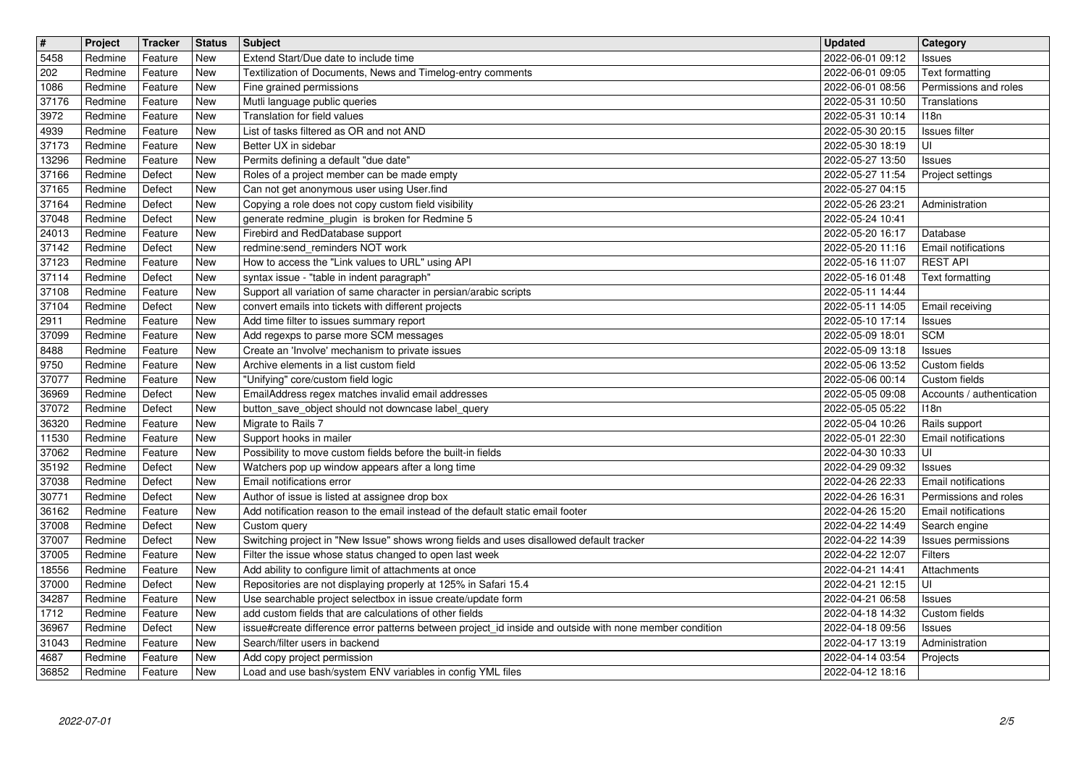| $\overline{\mathbf{H}}$ | Project            | Tracker            | <b>Status</b>     | <b>Subject</b>                                                                                                                  | <b>Updated</b>                       | Category                                 |
|-------------------------|--------------------|--------------------|-------------------|---------------------------------------------------------------------------------------------------------------------------------|--------------------------------------|------------------------------------------|
| 5458                    | Redmine            | Feature            | New               | Extend Start/Due date to include time                                                                                           | 2022-06-01 09:12                     | Issues                                   |
| 202<br>1086             | Redmine<br>Redmine | Feature<br>Feature | New<br><b>New</b> | Textilization of Documents, News and Timelog-entry comments<br>Fine grained permissions                                         | 2022-06-01 09:05<br>2022-06-01 08:56 | Text formatting<br>Permissions and roles |
| 37176                   | Redmine            | Feature            | <b>New</b>        | Mutli language public queries                                                                                                   | 2022-05-31 10:50                     | Translations                             |
| 3972                    | Redmine            | Feature            | New               | Translation for field values                                                                                                    | 2022-05-31 10:14                     | 118n                                     |
| 4939                    | Redmine            | Feature            | New               | List of tasks filtered as OR and not AND                                                                                        | 2022-05-30 20:15                     | Issues filter                            |
| 37173<br>13296          | Redmine<br>Redmine | Feature<br>Feature | New<br>New        | Better UX in sidebar<br>Permits defining a default "due date"                                                                   | 2022-05-30 18:19<br>2022-05-27 13:50 | UI<br>Issues                             |
| 37166                   | Redmine            | Defect             | New               | Roles of a project member can be made empty                                                                                     | 2022-05-27 11:54                     | Project settings                         |
| 37165                   | Redmine            | Defect             | New               | Can not get anonymous user using User.find                                                                                      | 2022-05-27 04:15                     |                                          |
| 37164<br>37048          | Redmine<br>Redmine | Defect<br>Defect   | New<br>New        | Copying a role does not copy custom field visibility<br>generate redmine_plugin is broken for Redmine 5                         | 2022-05-26 23:21<br>2022-05-24 10:41 | Administration                           |
| 24013                   | Redmine            | Feature            | New               | Firebird and RedDatabase support                                                                                                | 2022-05-20 16:17                     | Database                                 |
| 37142                   | Redmine            | Defect             | New               | redmine:send_reminders NOT work                                                                                                 | 2022-05-20 11:16                     | Email notifications                      |
| 37123<br>37114          | Redmine<br>Redmine | Feature<br>Defect  | New<br>New        | How to access the "Link values to URL" using API<br>syntax issue - "table in indent paragraph"                                  | 2022-05-16 11:07<br>2022-05-16 01:48 | <b>REST API</b><br>Text formatting       |
| 37108                   | Redmine            | Feature            | New               | Support all variation of same character in persian/arabic scripts                                                               | 2022-05-11 14:44                     |                                          |
| 37104                   | Redmine            | Defect             | New               | convert emails into tickets with different projects                                                                             | 2022-05-11 14:05                     | Email receiving                          |
| 2911                    | Redmine            | Feature            | New<br>New        | Add time filter to issues summary report<br>Add regexps to parse more SCM messages                                              | 2022-05-10 17:14                     | Issues<br><b>SCM</b>                     |
| 37099<br>8488           | Redmine<br>Redmine | Feature<br>Feature | New               | Create an 'Involve' mechanism to private issues                                                                                 | 2022-05-09 18:01<br>2022-05-09 13:18 | Issues                                   |
| 9750                    | Redmine            | Feature            | New               | Archive elements in a list custom field                                                                                         | 2022-05-06 13:52                     | Custom fields                            |
| 37077                   | Redmine            | Feature            | New               | "Unifying" core/custom field logic                                                                                              | 2022-05-06 00:14                     | Custom fields                            |
| 36969<br>37072          | Redmine<br>Redmine | Defect<br>Defect   | New<br>New        | EmailAddress regex matches invalid email addresses<br>button_save_object should not downcase label_query                        | 2022-05-05 09:08<br>2022-05-05 05:22 | Accounts / authentication<br>118n        |
| 36320                   | Redmine            | Feature            | New               | Migrate to Rails 7                                                                                                              | 2022-05-04 10:26                     | Rails support                            |
| 11530                   | Redmine            | Feature            | New               | Support hooks in mailer                                                                                                         | 2022-05-01 22:30                     | Email notifications                      |
| 37062<br>35192          | Redmine<br>Redmine | Feature<br>Defect  | New<br>New        | Possibility to move custom fields before the built-in fields<br>Watchers pop up window appears after a long time                | 2022-04-30 10:33<br>2022-04-29 09:32 | UI<br>Issues                             |
| 37038                   | Redmine            | Defect             | New               | Email notifications error                                                                                                       | 2022-04-26 22:33                     | <b>Email notifications</b>               |
| 30771                   | Redmine            | Defect             | New               | Author of issue is listed at assignee drop box                                                                                  | 2022-04-26 16:31                     | Permissions and roles                    |
| 36162                   | Redmine            | Feature            | New               | Add notification reason to the email instead of the default static email footer                                                 | 2022-04-26 15:20                     | Email notifications                      |
| 37008<br>37007          | Redmine<br>Redmine | Defect<br>Defect   | New<br>New        | Custom query<br>Switching project in "New Issue" shows wrong fields and uses disallowed default tracker                         | 2022-04-22 14:49<br>2022-04-22 14:39 | Search engine<br>Issues permissions      |
| 37005                   | Redmine            | Feature            | New               | Filter the issue whose status changed to open last week                                                                         | 2022-04-22 12:07                     | Filters                                  |
| 18556                   | Redmine            | Feature            | New               | Add ability to configure limit of attachments at once                                                                           | 2022-04-21 14:41                     | Attachments                              |
| 37000<br>34287          | Redmine<br>Redmine | Defect<br>Feature  | New<br>New        | Repositories are not displaying properly at 125% in Safari 15.4<br>Use searchable project selectbox in issue create/update form | 2022-04-21 12:15<br>2022-04-21 06:58 | UI<br>Issues                             |
| 1712                    | Redmine            | Feature            | New               | add custom fields that are calculations of other fields                                                                         | 2022-04-18 14:32 Custom fields       |                                          |
| 36967                   | Redmine            | Defect             | New               | issue#create difference error patterns between project id inside and outside with none member condition                         | 2022-04-18 09:56                     | Issues                                   |
| 31043<br>4687           | Redmine<br>Redmine | Feature<br>Feature | New<br>New        | Search/filter users in backend<br>Add copy project permission                                                                   | 2022-04-17 13:19<br>2022-04-14 03:54 | Administration<br>Projects               |
| 36852                   | Redmine            | Feature            | New               | Load and use bash/system ENV variables in config YML files                                                                      | 2022-04-12 18:16                     |                                          |
|                         |                    |                    |                   |                                                                                                                                 |                                      |                                          |
|                         |                    |                    |                   |                                                                                                                                 |                                      |                                          |
|                         |                    |                    |                   |                                                                                                                                 |                                      |                                          |
|                         |                    |                    |                   |                                                                                                                                 |                                      |                                          |
|                         |                    |                    |                   |                                                                                                                                 |                                      |                                          |
|                         |                    |                    |                   |                                                                                                                                 |                                      |                                          |
|                         |                    |                    |                   |                                                                                                                                 |                                      |                                          |
|                         |                    |                    |                   |                                                                                                                                 |                                      |                                          |
|                         |                    |                    |                   |                                                                                                                                 |                                      |                                          |
|                         |                    |                    |                   |                                                                                                                                 |                                      |                                          |
|                         |                    |                    |                   |                                                                                                                                 |                                      |                                          |
|                         |                    |                    |                   |                                                                                                                                 |                                      |                                          |
|                         |                    |                    |                   |                                                                                                                                 |                                      |                                          |
|                         |                    |                    |                   |                                                                                                                                 |                                      |                                          |
|                         |                    |                    |                   |                                                                                                                                 |                                      |                                          |
|                         |                    |                    |                   |                                                                                                                                 |                                      |                                          |
|                         |                    |                    |                   |                                                                                                                                 |                                      |                                          |
|                         |                    |                    |                   |                                                                                                                                 |                                      |                                          |
|                         |                    |                    |                   |                                                                                                                                 |                                      |                                          |
|                         |                    |                    |                   |                                                                                                                                 |                                      |                                          |
|                         |                    |                    |                   |                                                                                                                                 |                                      |                                          |
|                         |                    |                    |                   |                                                                                                                                 |                                      |                                          |
|                         |                    |                    |                   |                                                                                                                                 |                                      |                                          |
|                         |                    |                    |                   |                                                                                                                                 |                                      |                                          |
|                         |                    |                    |                   |                                                                                                                                 |                                      |                                          |
|                         |                    |                    |                   |                                                                                                                                 |                                      |                                          |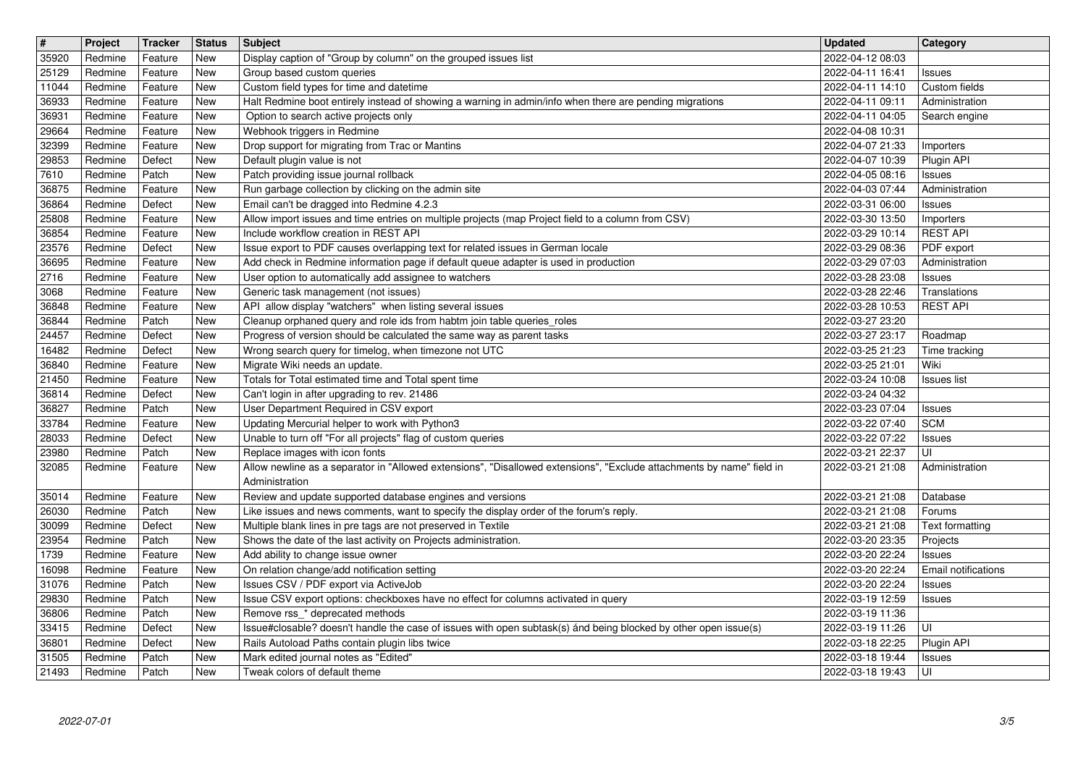| $\overline{\mathbf{H}}$ | Project            | Tracker            | <b>Status</b>     | <b>Subject</b>                                                                                                                                                          | <b>Updated</b>                       | Category                             |
|-------------------------|--------------------|--------------------|-------------------|-------------------------------------------------------------------------------------------------------------------------------------------------------------------------|--------------------------------------|--------------------------------------|
| 35920<br>25129          | Redmine<br>Redmine | Feature<br>Feature | New<br><b>New</b> | Display caption of "Group by column" on the grouped issues list<br>Group based custom queries                                                                           | 2022-04-12 08:03<br>2022-04-11 16:41 | <b>Issues</b>                        |
| 11044                   | Redmine            | Feature            | New               | Custom field types for time and datetime                                                                                                                                | 2022-04-11 14:10                     | Custom fields                        |
| 36933                   | Redmine            | Feature            | <b>New</b>        | Halt Redmine boot entirely instead of showing a warning in admin/info when there are pending migrations                                                                 | 2022-04-11 09:11                     | Administration                       |
| 36931                   | Redmine            | Feature            | New               | Option to search active projects only                                                                                                                                   | 2022-04-11 04:05                     | Search engine                        |
| 29664<br>32399          | Redmine<br>Redmine | Feature<br>Feature | New<br>New        | Webhook triggers in Redmine<br>Drop support for migrating from Trac or Mantins                                                                                          | 2022-04-08 10:31<br>2022-04-07 21:33 | Importers                            |
| 29853                   | Redmine            | Defect             | New               | Default plugin value is not                                                                                                                                             | 2022-04-07 10:39                     | Plugin API                           |
| 7610                    | Redmine            | Patch              | New               | Patch providing issue journal rollback                                                                                                                                  | 2022-04-05 08:16                     | <b>Issues</b>                        |
| 36875<br>36864          | Redmine<br>Redmine | Feature<br>Defect  | New<br>New        | Run garbage collection by clicking on the admin site<br>Email can't be dragged into Redmine 4.2.3                                                                       | 2022-04-03 07:44<br>2022-03-31 06:00 | Administration<br><b>Issues</b>      |
| 25808                   | Redmine            | Feature            | New               | Allow import issues and time entries on multiple projects (map Project field to a column from CSV)                                                                      | 2022-03-30 13:50                     | Importers                            |
| 36854                   | Redmine            | Feature            | New               | Include workflow creation in REST API                                                                                                                                   | 2022-03-29 10:14                     | <b>REST API</b>                      |
| 23576<br>36695          | Redmine<br>Redmine | Defect<br>Feature  | <b>New</b><br>New | Issue export to PDF causes overlapping text for related issues in German locale<br>Add check in Redmine information page if default queue adapter is used in production | 2022-03-29 08:36<br>2022-03-29 07:03 | PDF export<br>Administration         |
| 2716                    | Redmine            | Feature            | New               | User option to automatically add assignee to watchers                                                                                                                   | 2022-03-28 23:08                     | <b>Issues</b>                        |
| 3068                    | Redmine            | Feature            | New               | Generic task management (not issues)                                                                                                                                    | 2022-03-28 22:46                     | Translations                         |
| 36848                   | Redmine            | Feature            | New<br>New        | API allow display "watchers" when listing several issues                                                                                                                | 2022-03-28 10:53                     | <b>REST API</b>                      |
| 36844<br>24457          | Redmine<br>Redmine | Patch<br>Defect    | New               | Cleanup orphaned query and role ids from habtm join table queries_roles<br>Progress of version should be calculated the same way as parent tasks                        | 2022-03-27 23:20<br>2022-03-27 23:17 | Roadmap                              |
| 16482                   | Redmine            | Defect             | New               | Wrong search query for timelog, when timezone not UTC                                                                                                                   | 2022-03-25 21:23                     | Time tracking                        |
| 36840                   | Redmine            | Feature            | New               | Migrate Wiki needs an update.                                                                                                                                           | 2022-03-25 21:01                     | Wiki                                 |
| 21450<br>36814          | Redmine<br>Redmine | Feature<br>Defect  | New<br>New        | Totals for Total estimated time and Total spent time<br>Can't login in after upgrading to rev. 21486                                                                    | 2022-03-24 10:08<br>2022-03-24 04:32 | <b>Issues</b> list                   |
| 36827                   | Redmine            | Patch              | New               | User Department Required in CSV export                                                                                                                                  | 2022-03-23 07:04                     | <b>Issues</b>                        |
| 33784                   | Redmine            | Feature            | New               | Updating Mercurial helper to work with Python3                                                                                                                          | 2022-03-22 07:40                     | <b>SCM</b>                           |
| 28033<br>23980          | Redmine<br>Redmine | Defect<br>Patch    | New<br>New        | Unable to turn off "For all projects" flag of custom queries<br>Replace images with icon fonts                                                                          | 2022-03-22 07:22<br>2022-03-21 22:37 | <b>Issues</b><br>UI                  |
| 32085                   | Redmine            | Feature            | New               | Allow newline as a separator in "Allowed extensions", "Disallowed extensions", "Exclude attachments by name" field in                                                   | 2022-03-21 21:08                     | Administration                       |
|                         |                    |                    |                   | Administration                                                                                                                                                          |                                      |                                      |
| 35014<br>26030          | Redmine<br>Redmine | Feature<br>Patch   | New<br>New        | Review and update supported database engines and versions<br>Like issues and news comments, want to specify the display order of the forum's reply.                     | 2022-03-21 21:08<br>2022-03-21 21:08 | Database<br>Forums                   |
| 30099                   | Redmine            | Defect             | New               | Multiple blank lines in pre tags are not preserved in Textile                                                                                                           | 2022-03-21 21:08                     | Text formatting                      |
| 23954                   | Redmine            | Patch              | New               | Shows the date of the last activity on Projects administration.                                                                                                         | 2022-03-20 23:35                     | Projects                             |
| 1739<br>16098           | Redmine<br>Redmine | Feature<br>Feature | New<br>New        | Add ability to change issue owner<br>On relation change/add notification setting                                                                                        | 2022-03-20 22:24                     | <b>Issues</b><br>Email notifications |
| 31076                   | Redmine            | Patch              | New               | Issues CSV / PDF export via ActiveJob                                                                                                                                   | 2022-03-20 22:24<br>2022-03-20 22:24 | <b>Issues</b>                        |
| 29830                   | Redmine            | Patch              | New               | Issue CSV export options: checkboxes have no effect for columns activated in query                                                                                      | 2022-03-19 12:59                     | <b>Issues</b>                        |
| 36806<br>33415          | Redmine<br>Redmine | Patch<br>Defect    | New<br>New        | Remove rss_* deprecated methods<br>Issue#closable? doesn't handle the case of issues with open subtask(s) ánd being blocked by other open issue(s)                      | 2022-03-19 11:36<br>2022-03-19 11:26 | l UI                                 |
| 36801                   | Redmine            | Defect             | New               | Rails Autoload Paths contain plugin libs twice                                                                                                                          | 2022-03-18 22:25                     | Plugin API                           |
| 31505<br>21493          | Redmine<br>Redmine | Patch<br>Patch     | New<br>New        | Mark edited journal notes as "Edited"<br>Tweak colors of default theme                                                                                                  | 2022-03-18 19:44<br>2022-03-18 19:43 | Issues<br>l UI-                      |
|                         |                    |                    |                   |                                                                                                                                                                         |                                      |                                      |
|                         |                    |                    |                   |                                                                                                                                                                         |                                      |                                      |
|                         |                    |                    |                   |                                                                                                                                                                         |                                      |                                      |
|                         |                    |                    |                   |                                                                                                                                                                         |                                      |                                      |
|                         |                    |                    |                   |                                                                                                                                                                         |                                      |                                      |
|                         |                    |                    |                   |                                                                                                                                                                         |                                      |                                      |
|                         |                    |                    |                   |                                                                                                                                                                         |                                      |                                      |
|                         |                    |                    |                   |                                                                                                                                                                         |                                      |                                      |
|                         |                    |                    |                   |                                                                                                                                                                         |                                      |                                      |
|                         |                    |                    |                   |                                                                                                                                                                         |                                      |                                      |
|                         |                    |                    |                   |                                                                                                                                                                         |                                      |                                      |
|                         |                    |                    |                   |                                                                                                                                                                         |                                      |                                      |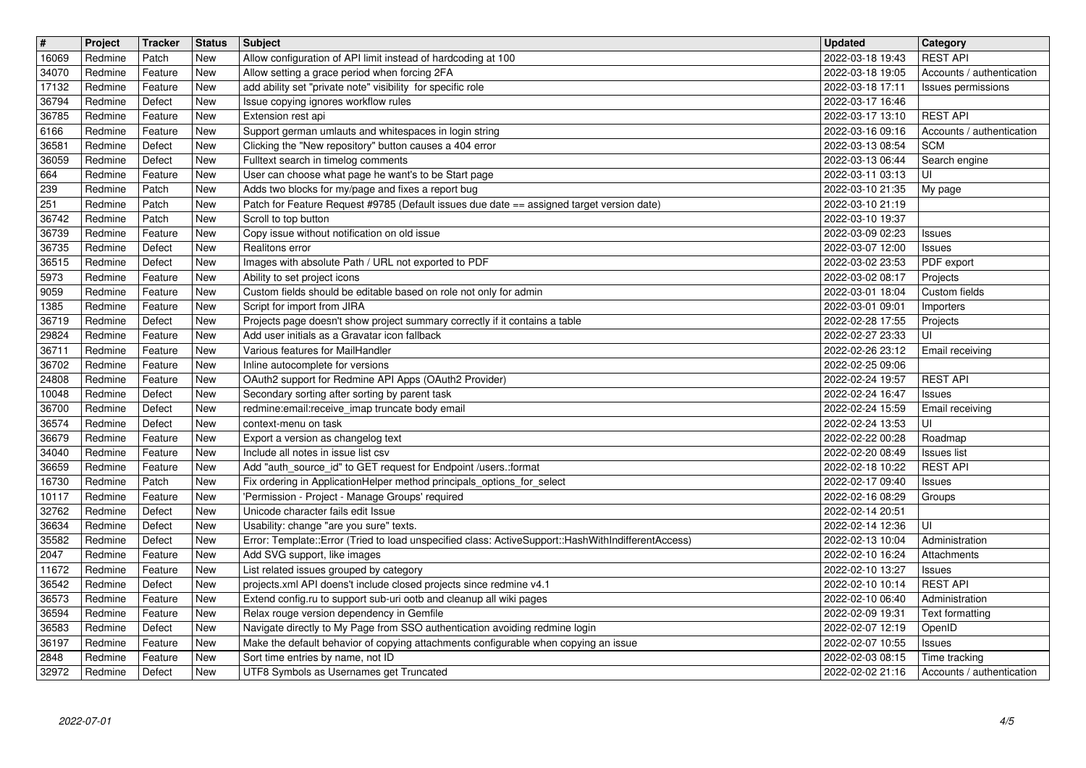| $\overline{\mathbf{H}}$ | Project            | Tracker            | <b>Status</b>     | Subject                                                                                                                                         | <b>Updated</b>                                         | <b>Category</b>                              |
|-------------------------|--------------------|--------------------|-------------------|-------------------------------------------------------------------------------------------------------------------------------------------------|--------------------------------------------------------|----------------------------------------------|
| 16069<br>34070          | Redmine<br>Redmine | Patch<br>Feature   | New<br><b>New</b> | Allow configuration of API limit instead of hardcoding at 100<br>Allow setting a grace period when forcing 2FA                                  | 2022-03-18 19:43<br>2022-03-18 19:05                   | <b>REST API</b><br>Accounts / authentication |
| 17132                   | Redmine            | Feature            | New               | add ability set "private note" visibility for specific role                                                                                     | 2022-03-18 17:11                                       | Issues permissions                           |
| 36794                   | Redmine            | Defect             | <b>New</b>        | Issue copying ignores workflow rules                                                                                                            | 2022-03-17 16:46                                       |                                              |
| 36785                   | Redmine            | Feature            | New               | Extension rest api                                                                                                                              | 2022-03-17 13:10                                       | <b>REST API</b>                              |
| 6166<br>36581           | Redmine<br>Redmine | Feature<br>Defect  | New<br>New        | Support german umlauts and whitespaces in login string<br>Clicking the "New repository" button causes a 404 error                               | 2022-03-16 09:16<br>2022-03-13 08:54                   | Accounts / authentication<br><b>SCM</b>      |
| 36059                   | Redmine            | Defect             | New               | Fulltext search in timelog comments                                                                                                             | 2022-03-13 06:44                                       | Search engine                                |
| 664                     | Redmine            | Feature            | <b>New</b>        | User can choose what page he want's to be Start page                                                                                            | 2022-03-11 03:13                                       | UI                                           |
| 239<br>251              | Redmine<br>Redmine | Patch<br>Patch     | New<br>New        | Adds two blocks for my/page and fixes a report bug<br>Patch for Feature Request #9785 (Default issues due date == assigned target version date) | 2022-03-10 21:35<br>2022-03-10 21:19                   | My page                                      |
| 36742                   | Redmine            | Patch              | New               | Scroll to top button                                                                                                                            | 2022-03-10 19:37                                       |                                              |
| 36739                   | Redmine            | Feature            | <b>New</b>        | Copy issue without notification on old issue                                                                                                    | 2022-03-09 02:23                                       | Issues                                       |
| 36735<br>36515          | Redmine<br>Redmine | Defect<br>Defect   | New<br>New        | Realitons error<br>Images with absolute Path / URL not exported to PDF                                                                          | 2022-03-07 12:00<br>2022-03-02 23:53                   | Issues<br>PDF export                         |
| 5973                    | Redmine            | Feature            | New               | Ability to set project icons                                                                                                                    | 2022-03-02 08:17                                       | Projects                                     |
| 9059                    | Redmine            | Feature            | New               | Custom fields should be editable based on role not only for admin                                                                               | 2022-03-01 18:04                                       | Custom fields                                |
| 1385                    | Redmine            | Feature            | New               | Script for import from JIRA                                                                                                                     | 2022-03-01 09:01                                       | Importers                                    |
| 36719<br>29824          | Redmine<br>Redmine | Defect<br>Feature  | New<br>New        | Projects page doesn't show project summary correctly if it contains a table<br>Add user initials as a Gravatar icon fallback                    | 2022-02-28 17:55<br>2022-02-27 23:33                   | Projects<br>UI                               |
| 36711                   | Redmine            | Feature            | New               | Various features for MailHandler                                                                                                                | 2022-02-26 23:12                                       | Email receiving                              |
| 36702                   | Redmine            | Feature            | New               | Inline autocomplete for versions                                                                                                                | 2022-02-25 09:06                                       |                                              |
| 24808<br>10048          | Redmine<br>Redmine | Feature<br>Defect  | <b>New</b><br>New | OAuth2 support for Redmine API Apps (OAuth2 Provider)<br>Secondary sorting after sorting by parent task                                         | 2022-02-24 19:57<br>2022-02-24 16:47                   | <b>REST API</b><br>Issues                    |
| 36700                   | Redmine            | Defect             | New               | redmine:email:receive_imap truncate body email                                                                                                  | 2022-02-24 15:59                                       | Email receiving                              |
| 36574                   | Redmine            | Defect             | New               | context-menu on task                                                                                                                            | 2022-02-24 13:53                                       | UI                                           |
| 36679<br>34040          | Redmine<br>Redmine | Feature<br>Feature | New<br>New        | Export a version as changelog text<br>Include all notes in issue list csv                                                                       | 2022-02-22 00:28<br>2022-02-20 08:49                   | Roadmap<br>Issues list                       |
| 36659                   | Redmine            | Feature            | New               | Add "auth_source_id" to GET request for Endpoint /users.:format                                                                                 | 2022-02-18 10:22                                       | <b>REST API</b>                              |
| 16730                   | Redmine            | Patch              | New               | Fix ordering in ApplicationHelper method principals_options_for_select                                                                          | 2022-02-17 09:40                                       | <b>Issues</b>                                |
| 10117<br>32762          | Redmine<br>Redmine | Feature<br>Defect  | <b>New</b><br>New | 'Permission - Project - Manage Groups' required<br>Unicode character fails edit Issue                                                           | 2022-02-16 08:29<br>2022-02-14 20:51                   | Groups                                       |
| 36634                   | Redmine            | Defect             | <b>New</b>        | Usability: change "are you sure" texts.                                                                                                         | 2022-02-14 12:36                                       | UI                                           |
| 35582                   | Redmine            | Defect             | New               | Error: Template::Error (Tried to load unspecified class: ActiveSupport::HashWithIndifferentAccess)<br>Add SVG support, like images              | 2022-02-13 10:04                                       | Administration                               |
| 2047<br>11672           | Redmine<br>Redmine | Feature<br>Feature | <b>New</b><br>New | List related issues grouped by category                                                                                                         | 2022-02-10 16:24<br>2022-02-10 13:27                   | Attachments<br>Issues                        |
| 36542                   | Redmine            | Defect             | <b>New</b>        | projects.xml API doens't include closed projects since redmine v4.1                                                                             | 2022-02-10 10:14                                       | <b>REST API</b>                              |
| 36573<br>36594          | Redmine<br>Redmine | Feature<br>Feature | New<br>New        | Extend config.ru to support sub-uri ootb and cleanup all wiki pages<br>Relax rouge version dependency in Gemfile                                | 2022-02-10 06:40<br>2022-02-09 19:31   Text formatting | Administration                               |
| 36583                   | Redmine            | Defect             | New               | Navigate directly to My Page from SSO authentication avoiding redmine login                                                                     | 2022-02-07 12:19                                       | OpenID                                       |
| 36197<br>2848           | Redmine<br>Redmine | Feature<br>Feature | New<br>New        | Make the default behavior of copying attachments configurable when copying an issue<br>Sort time entries by name, not ID                        | 2022-02-07 10:55<br>2022-02-03 08:15                   | Issues<br>Time tracking                      |
| 32972                   | Redmine            | Defect             | New               | UTF8 Symbols as Usernames get Truncated                                                                                                         | 2022-02-02 21:16                                       | Accounts / authentication                    |
|                         |                    |                    |                   |                                                                                                                                                 |                                                        |                                              |
|                         |                    |                    |                   |                                                                                                                                                 |                                                        |                                              |
|                         |                    |                    |                   |                                                                                                                                                 |                                                        |                                              |
|                         |                    |                    |                   |                                                                                                                                                 |                                                        |                                              |
|                         |                    |                    |                   |                                                                                                                                                 |                                                        |                                              |
|                         |                    |                    |                   |                                                                                                                                                 |                                                        |                                              |
|                         |                    |                    |                   |                                                                                                                                                 |                                                        |                                              |
|                         |                    |                    |                   |                                                                                                                                                 |                                                        |                                              |
|                         |                    |                    |                   |                                                                                                                                                 |                                                        |                                              |
|                         |                    |                    |                   |                                                                                                                                                 |                                                        |                                              |
|                         |                    |                    |                   |                                                                                                                                                 |                                                        |                                              |
|                         |                    |                    |                   |                                                                                                                                                 |                                                        |                                              |
|                         |                    |                    |                   |                                                                                                                                                 |                                                        |                                              |
|                         |                    |                    |                   |                                                                                                                                                 |                                                        |                                              |
|                         |                    |                    |                   |                                                                                                                                                 |                                                        |                                              |
|                         |                    |                    |                   |                                                                                                                                                 |                                                        |                                              |
|                         |                    |                    |                   |                                                                                                                                                 |                                                        |                                              |
|                         |                    |                    |                   |                                                                                                                                                 |                                                        |                                              |
|                         |                    |                    |                   |                                                                                                                                                 |                                                        |                                              |
|                         |                    |                    |                   |                                                                                                                                                 |                                                        |                                              |
|                         |                    |                    |                   |                                                                                                                                                 |                                                        |                                              |